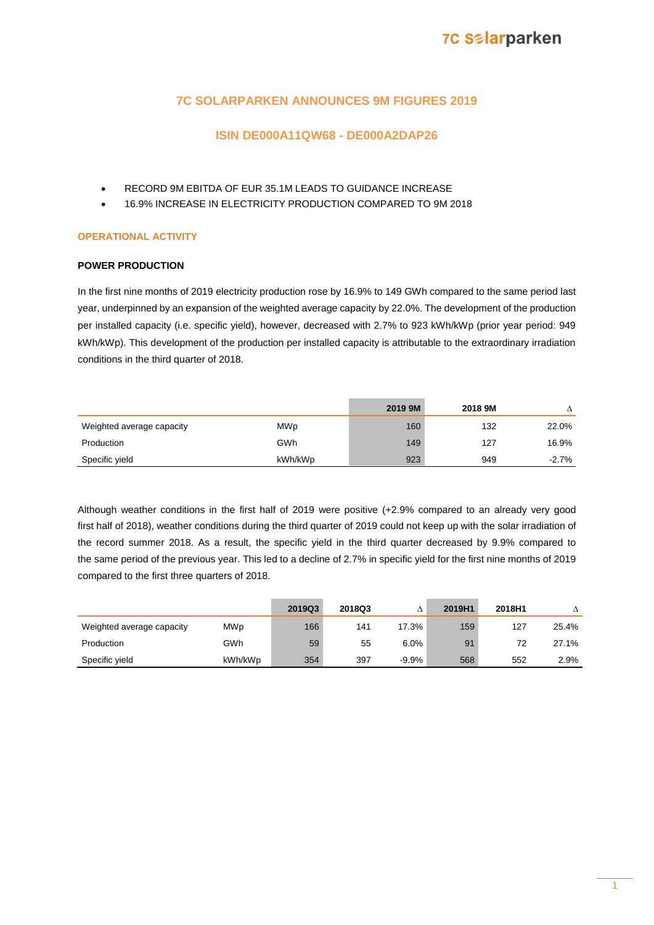### **7C SOLARPARKEN ANNOUNCES 9M FIGURES 2019**

### **ISIN DE000A11QW68 - DE000A2DAP26**

- RECORD 9M EBITDA OF EUR 35.1M LEADS TO GUIDANCE INCREASE
- 16.9% INCREASE IN ELECTRICITY PRODUCTION COMPARED TO 9M 2018

### **OPERATIONAL ACTIVITY**

#### **POWER PRODUCTION**

In the first nine months of 2019 electricity production rose by 16.9% to 149 GWh compared to the same period last year, underpinned by an expansion of the weighted average capacity by 22.0%. The development of the production per installed capacity (i.e. specific yield), however, decreased with 2.7% to 923 kWh/kWp (prior year period: 949 kWh/kWp). This development of the production per installed capacity is attributable to the extraordinary irradiation conditions in the third quarter of 2018.

|                           |         | 2019 9M | 2018 9M |         |
|---------------------------|---------|---------|---------|---------|
| Weighted average capacity | MWp     | 160     | 132     | 22.0%   |
| Production                | GWh     | 149     | 127     | 16.9%   |
| Specific yield            | kWh/kWp | 923     | 949     | $-2.7%$ |

Although weather conditions in the first half of 2019 were positive (+2.9% compared to an already very good first half of 2018), weather conditions during the third quarter of 2019 could not keep up with the solar irradiation of the record summer 2018. As a result, the specific yield in the third quarter decreased by 9.9% compared to the same period of the previous year. This led to a decline of 2.7% in specific yield for the first nine months of 2019 compared to the first three quarters of 2018.

|                           |            | 2019Q3 | 2018Q3 |         | 2019H1 | 2018H1 |       |
|---------------------------|------------|--------|--------|---------|--------|--------|-------|
| Weighted average capacity | <b>MWp</b> | 166    | 141    | 17.3%   | 159    | 127    | 25.4% |
| Production                | GWh        | 59     | 55     | 6.0%    | 91     | 72     | 27.1% |
| Specific vield            | kWh/kWp    | 354    | 397    | $-9.9%$ | 568    | 552    | 2.9%  |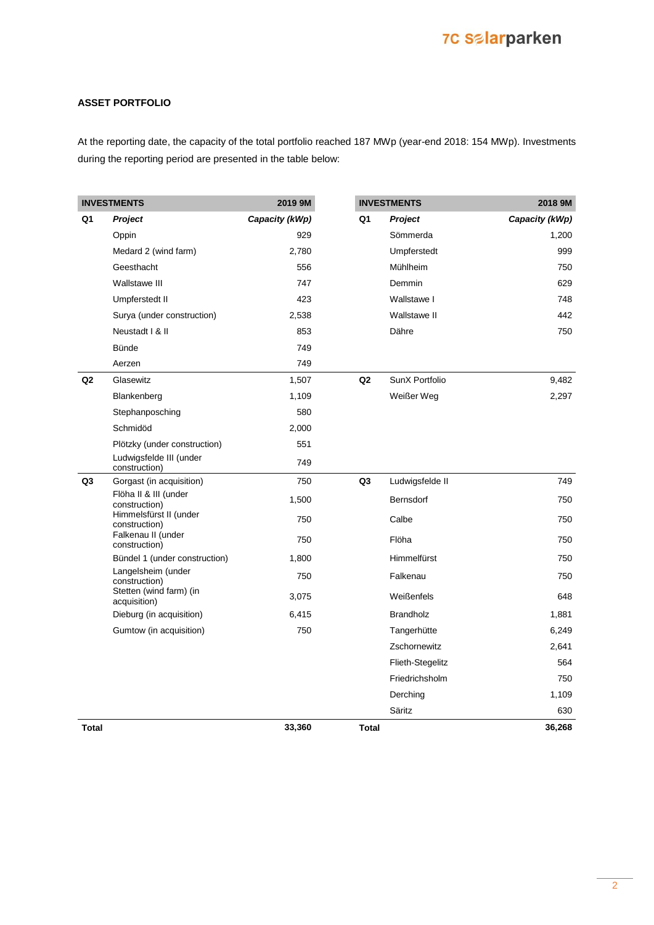### **ASSET PORTFOLIO**

At the reporting date, the capacity of the total portfolio reached 187 MWp (year-end 2018: 154 MWp). Investments during the reporting period are presented in the table below:

|                | <b>INVESTMENTS</b>                       | 2019 9M        | <b>INVESTMENTS</b> |                    | 2018 9M        |
|----------------|------------------------------------------|----------------|--------------------|--------------------|----------------|
| Q1             | <b>Project</b>                           | Capacity (kWp) | Q1                 | <b>Project</b>     | Capacity (kWp) |
|                | Oppin                                    | 929            |                    | Sömmerda           | 1,200          |
|                | Medard 2 (wind farm)                     | 2,780          |                    | Umpferstedt        | 999            |
|                | Geesthacht                               | 556            |                    | Mühlheim           | 750            |
|                | Wallstawe III                            | 747            |                    | Demmin             | 629            |
|                | Umpferstedt II                           | 423            |                    | Wallstawe I        | 748            |
|                | Surya (under construction)               | 2,538          |                    | Wallstawe II       | 442            |
|                | Neustadt I & II                          | 853            |                    | Dähre              | 750            |
|                | <b>Bünde</b>                             | 749            |                    |                    |                |
|                | Aerzen                                   | 749            |                    |                    |                |
| Q <sub>2</sub> | Glasewitz                                | 1,507          | Q2                 | SunX Portfolio     | 9,482          |
|                | Blankenberg                              | 1,109          |                    | Weißer Weg         | 2,297          |
|                | Stephanposching                          | 580            |                    |                    |                |
|                | Schmidöd                                 | 2,000          |                    |                    |                |
|                | Plötzky (under construction)             | 551            |                    |                    |                |
|                | Ludwigsfelde III (under<br>construction) | 749            |                    |                    |                |
| Q3             | Gorgast (in acquisition)                 | 750            | Q <sub>3</sub>     | Ludwigsfelde II    | 749            |
|                | Flöha II & III (under<br>construction)   | 1,500          |                    | <b>Bernsdorf</b>   | 750            |
|                | Himmelsfürst II (under<br>construction)  | 750            |                    | Calbe              | 750            |
|                | Falkenau II (under<br>construction)      | 750            |                    | Flöha              | 750            |
|                | Bündel 1 (under construction)            | 1,800          |                    | <b>Himmelfürst</b> | 750            |
|                | Langelsheim (under<br>construction)      | 750            |                    | Falkenau           | 750            |
|                | Stetten (wind farm) (in<br>acquisition)  | 3,075          |                    | Weißenfels         | 648            |
|                | Dieburg (in acquisition)                 | 6,415          |                    | <b>Brandholz</b>   | 1,881          |
|                | Gumtow (in acquisition)                  | 750            |                    | Tangerhütte        | 6,249          |
|                |                                          |                |                    | Zschornewitz       | 2,641          |
|                |                                          |                |                    | Flieth-Stegelitz   | 564            |
|                |                                          |                |                    | Friedrichsholm     | 750            |
|                |                                          |                |                    | Derching           | 1,109          |
|                |                                          |                |                    | Säritz             | 630            |
| <b>Total</b>   |                                          | 33,360         | <b>Total</b>       |                    | 36,268         |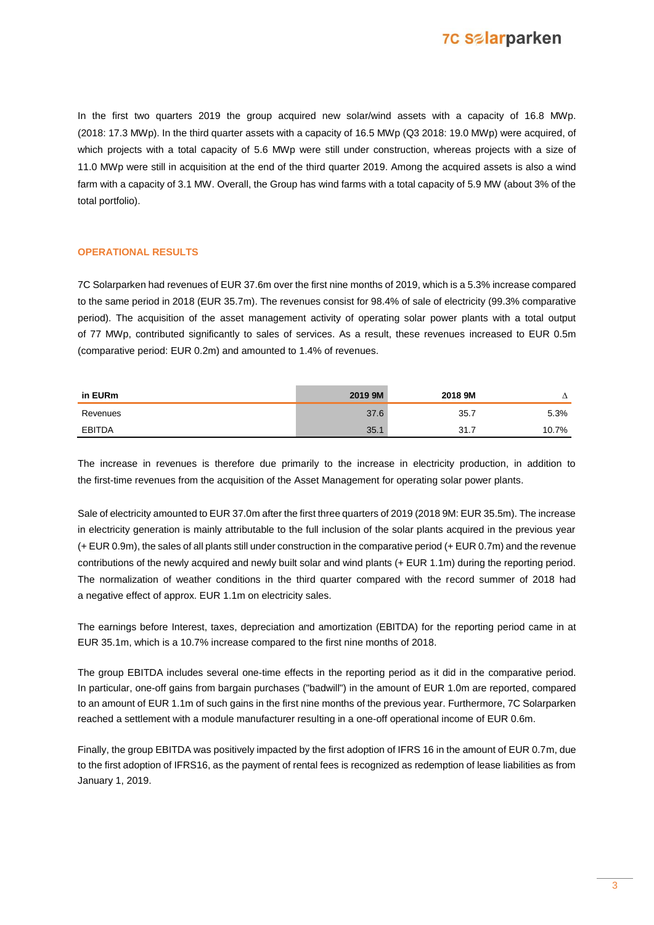In the first two quarters 2019 the group acquired new solar/wind assets with a capacity of 16.8 MWp. (2018: 17.3 MWp). In the third quarter assets with a capacity of 16.5 MWp (Q3 2018: 19.0 MWp) were acquired, of which projects with a total capacity of 5.6 MWp were still under construction, whereas projects with a size of 11.0 MWp were still in acquisition at the end of the third quarter 2019. Among the acquired assets is also a wind farm with a capacity of 3.1 MW. Overall, the Group has wind farms with a total capacity of 5.9 MW (about 3% of the total portfolio).

#### **OPERATIONAL RESULTS**

7C Solarparken had revenues of EUR 37.6m over the first nine months of 2019, which is a 5.3% increase compared to the same period in 2018 (EUR 35.7m). The revenues consist for 98.4% of sale of electricity (99.3% comparative period). The acquisition of the asset management activity of operating solar power plants with a total output of 77 MWp, contributed significantly to sales of services. As a result, these revenues increased to EUR 0.5m (comparative period: EUR 0.2m) and amounted to 1.4% of revenues.

| in EURm  | 2019 9M | 2018 9M |       |
|----------|---------|---------|-------|
| Revenues | 27      | 35.     | 5.3%  |
| FBITDA   | つに      | 21<br>. | 10.7% |

The increase in revenues is therefore due primarily to the increase in electricity production, in addition to the first-time revenues from the acquisition of the Asset Management for operating solar power plants.

Sale of electricity amounted to EUR 37.0m after the first three quarters of 2019 (2018 9M: EUR 35.5m). The increase in electricity generation is mainly attributable to the full inclusion of the solar plants acquired in the previous year (+ EUR 0.9m), the sales of all plants still under construction in the comparative period (+ EUR 0.7m) and the revenue contributions of the newly acquired and newly built solar and wind plants (+ EUR 1.1m) during the reporting period. The normalization of weather conditions in the third quarter compared with the record summer of 2018 had a negative effect of approx. EUR 1.1m on electricity sales.

The earnings before Interest, taxes, depreciation and amortization (EBITDA) for the reporting period came in at EUR 35.1m, which is a 10.7% increase compared to the first nine months of 2018.

The group EBITDA includes several one-time effects in the reporting period as it did in the comparative period. In particular, one-off gains from bargain purchases ("badwill") in the amount of EUR 1.0m are reported, compared to an amount of EUR 1.1m of such gains in the first nine months of the previous year. Furthermore, 7C Solarparken reached a settlement with a module manufacturer resulting in a one-off operational income of EUR 0.6m.

Finally, the group EBITDA was positively impacted by the first adoption of IFRS 16 in the amount of EUR 0.7m, due to the first adoption of IFRS16, as the payment of rental fees is recognized as redemption of lease liabilities as from January 1, 2019.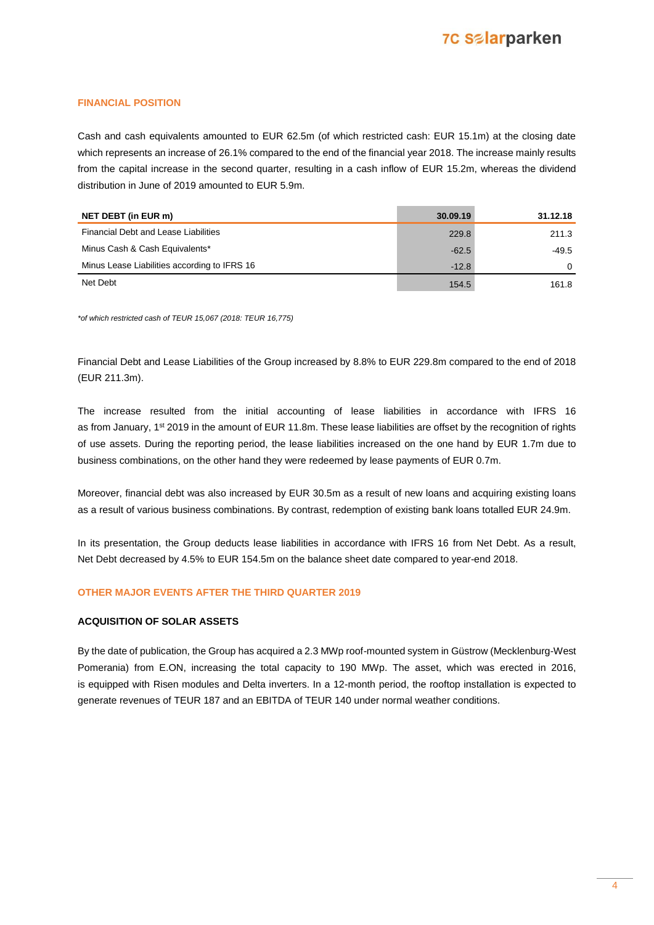#### **FINANCIAL POSITION**

Cash and cash equivalents amounted to EUR 62.5m (of which restricted cash: EUR 15.1m) at the closing date which represents an increase of 26.1% compared to the end of the financial year 2018. The increase mainly results from the capital increase in the second quarter, resulting in a cash inflow of EUR 15.2m, whereas the dividend distribution in June of 2019 amounted to EUR 5.9m.

| NET DEBT (in EUR m)                          | 30.09.19 | 31.12.18 |
|----------------------------------------------|----------|----------|
| <b>Financial Debt and Lease Liabilities</b>  | 229.8    | 211.3    |
| Minus Cash & Cash Equivalents*               | $-62.5$  | -49.5    |
| Minus Lease Liabilities according to IFRS 16 | $-12.8$  | $\Omega$ |
| Net Debt                                     | 154.5    | 161.8    |

*\*of which restricted cash of TEUR 15,067 (2018: TEUR 16,775)*

Financial Debt and Lease Liabilities of the Group increased by 8.8% to EUR 229.8m compared to the end of 2018 (EUR 211.3m).

The increase resulted from the initial accounting of lease liabilities in accordance with IFRS 16 as from January, 1<sup>st</sup> 2019 in the amount of EUR 11.8m. These lease liabilities are offset by the recognition of rights of use assets. During the reporting period, the lease liabilities increased on the one hand by EUR 1.7m due to business combinations, on the other hand they were redeemed by lease payments of EUR 0.7m.

Moreover, financial debt was also increased by EUR 30.5m as a result of new loans and acquiring existing loans as a result of various business combinations. By contrast, redemption of existing bank loans totalled EUR 24.9m.

In its presentation, the Group deducts lease liabilities in accordance with IFRS 16 from Net Debt. As a result, Net Debt decreased by 4.5% to EUR 154.5m on the balance sheet date compared to year-end 2018.

#### **OTHER MAJOR EVENTS AFTER THE THIRD QUARTER 2019**

#### **ACQUISITION OF SOLAR ASSETS**

By the date of publication, the Group has acquired a 2.3 MWp roof-mounted system in Güstrow (Mecklenburg-West Pomerania) from E.ON, increasing the total capacity to 190 MWp. The asset, which was erected in 2016, is equipped with Risen modules and Delta inverters. In a 12-month period, the rooftop installation is expected to generate revenues of TEUR 187 and an EBITDA of TEUR 140 under normal weather conditions.